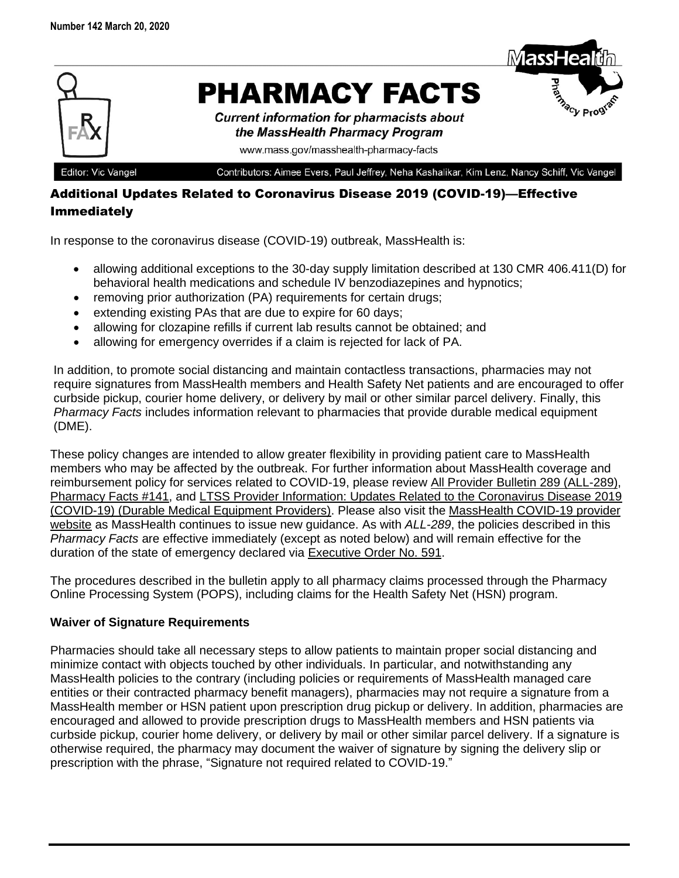

Editor: Vic Vangel

Contributors: Aimee Evers, Paul Jeffrey, Neha Kashalikar, Kim Lenz, Nancy Schiff, Vic Vangel

## Additional Updates Related to Coronavirus Disease 2019 (COVID-19)—Effective Immediately

In response to the coronavirus disease (COVID-19) outbreak, MassHealth is:

- allowing additional exceptions to the 30-day supply limitation described at 130 CMR 406.411(D) for behavioral health medications and schedule IV benzodiazepines and hypnotics;
- removing prior authorization (PA) requirements for certain drugs;
- extending existing PAs that are due to expire for 60 days;
- allowing for clozapine refills if current lab results cannot be obtained; and
- allowing for emergency overrides if a claim is rejected for lack of PA.

In addition, to promote social distancing and maintain contactless transactions, pharmacies may not require signatures from MassHealth members and Health Safety Net patients and are encouraged to offer curbside pickup, courier home delivery, or delivery by mail or other similar parcel delivery. Finally, this *Pharmacy Facts* includes information relevant to pharmacies that provide durable medical equipment (DME).

These policy changes are intended to allow greater flexibility in providing patient care to MassHealth members who may be affected by the outbreak. For further information about MassHealth coverage and reimbursement policy for services related to COVID-19, please review [All Provider Bulletin 289 \(ALL-289\),](https://www.mass.gov/doc/all-provider-bulletin-289-masshealth-coverage-and-reimbursement-policy-for-services-related-to/download) [Pharmacy Facts #141,](https://www.mass.gov/doc/pharmacy-facts-141-march-12-2020-0/download) and [LTSS Provider Information: Updates Related to the Coronavirus Disease 2019](https://www.mass.gov/doc/ltss-provider-updates-for-covid-19/download)  [\(COVID-19\) \(Durable Medical Equipment Providers\).](https://www.mass.gov/doc/ltss-provider-updates-for-covid-19/download) Please also visit the [MassHealth COVID-19 provider](https://www.mass.gov/info-details/masshealth-coronavirus-disease-2019-covid-19-providers)  [website](https://www.mass.gov/info-details/masshealth-coronavirus-disease-2019-covid-19-providers) as MassHealth continues to issue new guidance. As with *ALL-289*, the policies described in this *Pharmacy Facts* are effective immediately (except as noted below) and will remain effective for the duration of the state of emergency declared via [Executive Order No. 591.](https://www.mass.gov/executive-orders/no-591-declaration-of-a-state-of-emergency-to-respond-to-covid-19)

The procedures described in the bulletin apply to all pharmacy claims processed through the Pharmacy Online Processing System (POPS), including claims for the Health Safety Net (HSN) program.

### **Waiver of Signature Requirements**

Pharmacies should take all necessary steps to allow patients to maintain proper social distancing and minimize contact with objects touched by other individuals. In particular, and notwithstanding any MassHealth policies to the contrary (including policies or requirements of MassHealth managed care entities or their contracted pharmacy benefit managers), pharmacies may not require a signature from a MassHealth member or HSN patient upon prescription drug pickup or delivery. In addition, pharmacies are encouraged and allowed to provide prescription drugs to MassHealth members and HSN patients via curbside pickup, courier home delivery, or delivery by mail or other similar parcel delivery. If a signature is otherwise required, the pharmacy may document the waiver of signature by signing the delivery slip or prescription with the phrase, "Signature not required related to COVID-19."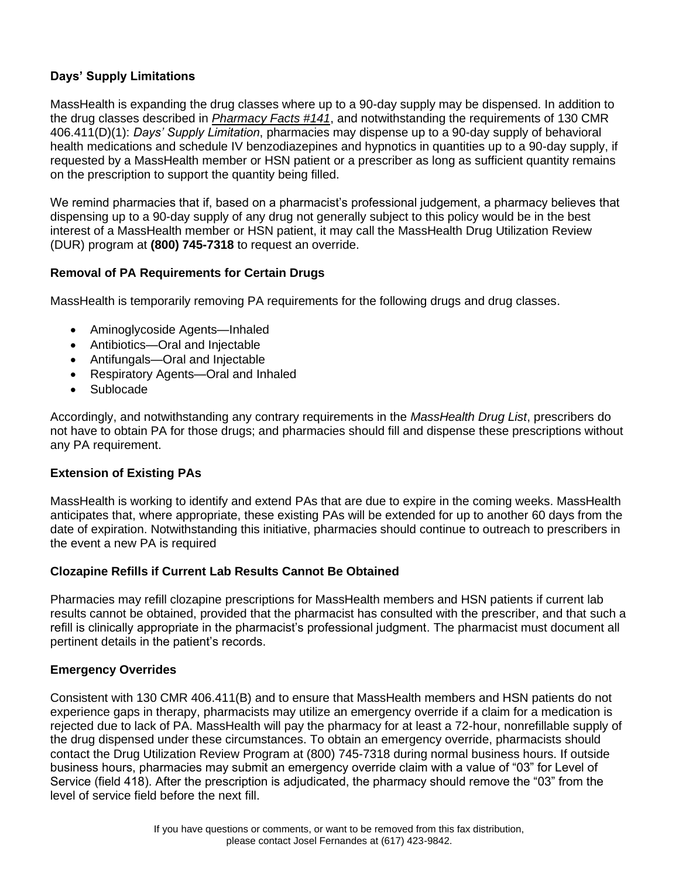# **Days' Supply Limitations**

MassHealth is expanding the drug classes where up to a 90-day supply may be dispensed. In addition to the drug classes described in *[Pharmacy Facts #141](https://www.mass.gov/doc/pharmacy-facts-141-march-12-2020-0/download)*, and notwithstanding the requirements of 130 CMR 406.411(D)(1): *Days' Supply Limitation*, pharmacies may dispense up to a 90-day supply of behavioral health medications and schedule IV benzodiazepines and hypnotics in quantities up to a 90-day supply, if requested by a MassHealth member or HSN patient or a prescriber as long as sufficient quantity remains on the prescription to support the quantity being filled.

We remind pharmacies that if, based on a pharmacist's professional judgement, a pharmacy believes that dispensing up to a 90-day supply of any drug not generally subject to this policy would be in the best interest of a MassHealth member or HSN patient, it may call the MassHealth Drug Utilization Review (DUR) program at **(800) 745-7318** to request an override.

## **Removal of PA Requirements for Certain Drugs**

MassHealth is temporarily removing PA requirements for the following drugs and drug classes.

- Aminoglycoside Agents—Inhaled
- Antibiotics—Oral and Injectable
- Antifungals—Oral and Injectable
- Respiratory Agents—Oral and Inhaled
- Sublocade

Accordingly, and notwithstanding any contrary requirements in the *MassHealth Drug List*, prescribers do not have to obtain PA for those drugs; and pharmacies should fill and dispense these prescriptions without any PA requirement.

## **Extension of Existing PAs**

MassHealth is working to identify and extend PAs that are due to expire in the coming weeks. MassHealth anticipates that, where appropriate, these existing PAs will be extended for up to another 60 days from the date of expiration. Notwithstanding this initiative, pharmacies should continue to outreach to prescribers in the event a new PA is required

## **Clozapine Refills if Current Lab Results Cannot Be Obtained**

Pharmacies may refill clozapine prescriptions for MassHealth members and HSN patients if current lab results cannot be obtained, provided that the pharmacist has consulted with the prescriber, and that such a refill is clinically appropriate in the pharmacist's professional judgment. The pharmacist must document all pertinent details in the patient's records.

## **Emergency Overrides**

Consistent with 130 CMR 406.411(B) and to ensure that MassHealth members and HSN patients do not experience gaps in therapy, pharmacists may utilize an emergency override if a claim for a medication is rejected due to lack of PA. MassHealth will pay the pharmacy for at least a 72-hour, nonrefillable supply of the drug dispensed under these circumstances. To obtain an emergency override, pharmacists should contact the Drug Utilization Review Program at (800) 745-7318 during normal business hours. If outside business hours, pharmacies may submit an emergency override claim with a value of "03" for Level of Service (field 418). After the prescription is adjudicated, the pharmacy should remove the "03" from the level of service field before the next fill.